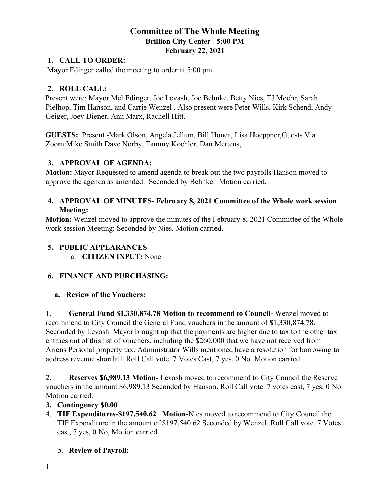# **Committee of The Whole Meeting Brillion City Center 5:00 PM February 22, 2021**

#### **1. CALL TO ORDER:**

Mayor Edinger called the meeting to order at 5:00 pm

#### **2. ROLL CALL:**

Present were: Mayor Mel Edinger, Joe Levash, Joe Behnke, Betty Nies, TJ Moehr, Sarah Pielhop, Tim Hanson, and Carrie Wenzel . Also present were Peter Wills, Kirk Schend, Andy Geiger, Joey Diener, Ann Marx, Rachell Hitt.

**GUESTS:** Present -Mark Olson, Angela Jellum, Bill Honea, Lisa Hoeppner,Guests Via Zoom:Mike Smith Dave Norby, Tammy Koehler, Dan Mertens,

### **3. APPROVAL OF AGENDA:**

**Motion:** Mayor Requested to amend agenda to break out the two payrolls Hanson moved to approve the agenda as amended. Seconded by Behnke. Motion carried.

# **4. APPROVAL OF MINUTES- February 8, 2021 Committee of the Whole work session Meeting:**

**Motion:** Wenzel moved to approve the minutes of the February 8, 2021 Committee of the Whole work session Meeting: Seconded by Nies. Motion carried.

#### **5. PUBLIC APPEARANCES**

a. **CITIZEN INPUT:** None

### **6. FINANCE AND PURCHASING:**

#### **a. Review of the Vouchers:**

1. **General Fund \$1,330,874.78 Motion to recommend to Council-** Wenzel moved to recommend to City Council the General Fund vouchers in the amount of **\$**1,330,874.78. Seconded by Levash. Mayor brought up that the payments are higher due to tax to the other tax entities out of this list of vouchers, including the \$260,000 that we have not received from Ariens Personal property tax. Administrator Wills mentioned have a resolution for borrowing to address revenue shortfall. Roll Call vote. 7 Votes Cast, 7 yes, 0 No. Motion carried.

2. **Reserves \$6,989.13 Motion-** Levash moved to recommend to City Council the Reserve vouchers in the amount \$6,989.13 Seconded by Hanson. Roll Call vote. 7 votes cast, 7 yes, 0 No Motion carried.

### **3. Contingency \$0.00**

4. **TIF Expenditures-\$197,540.62 Motion-**Nies moved to recommend to City Council the TIF Expenditure in the amount of \$197,540.62 Seconded by Wenzel. Roll Call vote. 7 Votes cast, 7 yes, 0 No, Motion carried.

### b. **Review of Payroll:**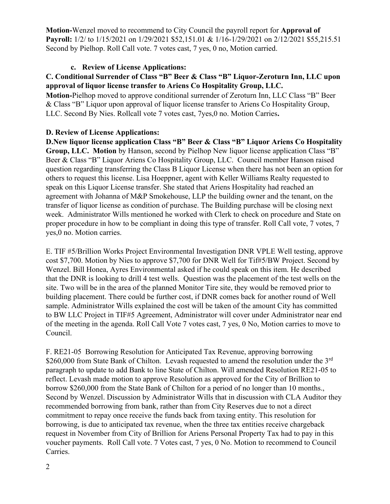**Motion-**Wenzel moved to recommend to City Council the payroll report for **Approval of Payroll:** 1/2/ to 1/15/2021 on 1/29/2021 \$52,151.01 & 1/16-1/29/2021 on 2/12/2021 \$55,215.51 Second by Pielhop. Roll Call vote. 7 votes cast, 7 yes, 0 no, Motion carried.

## **c. Review of License Applications:**

## **C. Conditional Surrender of Class "B" Beer & Class "B" Liquor-Zeroturn Inn, LLC upon approval of liquor license transfer to Ariens Co Hospitality Group, LLC.**

**Motion-**Pielhop moved to approve conditional surrender of Zeroturn Inn, LLC Class "B" Beer & Class "B" Liquor upon approval of liquor license transfer to Ariens Co Hospitality Group, LLC. Second By Nies. Rollcall vote 7 votes cast, 7yes,0 no. Motion Carries**.**

### **D. Review of License Applications:**

**D.New liquor license application Class "B" Beer & Class "B" Liquor Ariens Co Hospitality Group, LLC. Motion** by Hanson, second by Pielhop New liquor license application Class "B" Beer & Class "B" Liquor Ariens Co Hospitality Group, LLC. Council member Hanson raised question regarding transferring the Class B Liquor License when there has not been an option for others to request this license. Lisa Hoeppner, agent with Keller Williams Realty requested to speak on this Liquor License transfer. She stated that Ariens Hospitality had reached an agreement with Johanna of M&P Smokehouse, LLP the building owner and the tenant, on the transfer of liquor license as condition of purchase. The Building purchase will be closing next week. Administrator Wills mentioned he worked with Clerk to check on procedure and State on proper procedure in how to be compliant in doing this type of transfer. Roll Call vote, 7 votes, 7 yes,0 no. Motion carries.

E. TIF #5/Brillion Works Project Environmental Investigation DNR VPLE Well testing, approve cost \$7,700. Motion by Nies to approve \$7,700 for DNR Well for Tif#5/BW Project. Second by Wenzel. Bill Honea, Ayres Environmental asked if he could speak on this item. He described that the DNR is looking to drill 4 test wells. Question was the placement of the test wells on the site. Two will be in the area of the planned Monitor Tire site, they would be removed prior to building placement. There could be further cost, if DNR comes back for another round of Well sample. Administrator Wills explained the cost will be taken of the amount City has committed to BW LLC Project in TIF#5 Agreement, Administrator will cover under Administrator near end of the meeting in the agenda. Roll Call Vote 7 votes cast, 7 yes, 0 No, Motion carries to move to Council.

F. RE21-05 Borrowing Resolution for Anticipated Tax Revenue, approving borrowing \$260,000 from State Bank of Chilton. Levash requested to amend the resolution under the  $3<sup>rd</sup>$ paragraph to update to add Bank to line State of Chilton. Will amended Resolution RE21-05 to reflect. Levash made motion to approve Resolution as approved for the City of Brillion to borrow \$260,000 from the State Bank of Chilton for a period of no longer than 10 months., Second by Wenzel. Discussion by Administrator Wills that in discussion with CLA Auditor they recommended borrowing from bank, rather than from City Reserves due to not a direct commitment to repay once receive the funds back from taxing entity. This resolution for borrowing, is due to anticipated tax revenue, when the three tax entities receive chargeback request in November from City of Brillion for Ariens Personal Property Tax had to pay in this voucher payments. Roll Call vote. 7 Votes cast, 7 yes, 0 No. Motion to recommend to Council Carries.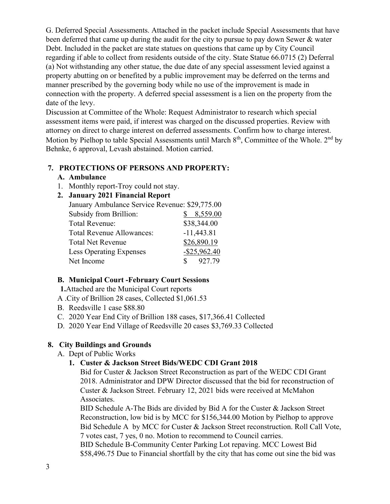G. Deferred Special Assessments. Attached in the packet include Special Assessments that have been deferred that came up during the audit for the city to pursue to pay down Sewer & water Debt. Included in the packet are state statues on questions that came up by City Council regarding if able to collect from residents outside of the city. State Statue 66.0715 (2) Deferral (a) Not withstanding any other statue, the due date of any special assessment levied against a property abutting on or benefited by a public improvement may be deferred on the terms and manner prescribed by the governing body while no use of the improvement is made in connection with the property. A deferred special assessment is a lien on the property from the date of the levy.

Discussion at Committee of the Whole: Request Administrator to research which special assessment items were paid, if interest was charged on the discussed properties. Review with attorney on direct to charge interest on deferred assessments. Confirm how to charge interest. Motion by Pielhop to table Special Assessments until March  $8<sup>th</sup>$ , Committee of the Whole.  $2<sup>nd</sup>$  by Behnke, 6 approval, Levash abstained. Motion carried.

# **7. PROTECTIONS OF PERSONS AND PROPERTY:**

### **A. Ambulance**

1. Monthly report-Troy could not stay.

# **2. January 2021 Financial Report**

| January Ambulance Service Revenue: \$29,775.00 |
|------------------------------------------------|
| 8,559.00                                       |
| \$38,344.00                                    |
| $-11,443.81$                                   |
| \$26,890.19                                    |
| $-$ \$25,962.40                                |
| $\frac{\$}{927.79}$                            |
|                                                |

# **B. Municipal Court -February Court Sessions**

**1.**Attached are the Municipal Court reports

- A .City of Brillion 28 cases, Collected \$1,061.53
- B. Reedsville 1 case \$88.80
- C. 2020 Year End City of Brillion 188 cases, \$17,366.41 Collected
- D. 2020 Year End Village of Reedsville 20 cases \$3,769.33 Collected

# **8. City Buildings and Grounds**

A. Dept of Public Works

# **1. Custer & Jackson Street Bids/WEDC CDI Grant 2018**

Bid for Custer & Jackson Street Reconstruction as part of the WEDC CDI Grant 2018. Administrator and DPW Director discussed that the bid for reconstruction of Custer & Jackson Street. February 12, 2021 bids were received at McMahon Associates.

BID Schedule A-The Bids are divided by Bid A for the Custer & Jackson Street Reconstruction, low bid is by MCC for \$156,344.00 Motion by Pielhop to approve Bid Schedule A by MCC for Custer & Jackson Street reconstruction. Roll Call Vote, 7 votes cast, 7 yes, 0 no. Motion to recommend to Council carries.

BID Schedule B-Community Center Parking Lot repaving. MCC Lowest Bid \$58,496.75 Due to Financial shortfall by the city that has come out sine the bid was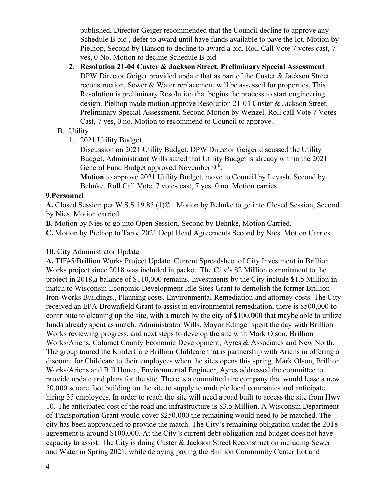published, Director Geiger recommended that the Council decline to approve any Schedule B bid , defer to award until have funds available to pave the lot. Motion by Pielhop, Second by Hanson to decline to award a bid. Roll Call Vote 7 votes cast, 7 yes, 0 No. Motion to decline Schedule B bid.

**2. Resolution 21-04 Custer & Jackson Street, Preliminary Special Assessment** DPW Director Geiger provided update that as part of the Custer & Jackson Street reconstruction, Sewer & Water replacement will be assessed for properties. This Resolution is preliminary Resolution that begins the process to start engineering design. Pielhop made motion approve Resolution 21-04 Custer & Jackson Street, Preliminary Special Assessment. Second Motion by Wenzel. Roll call Vote 7 Votes Cast, 7 yes, 0 no. Motion to recommend to Council to approve.

#### B. Utility

1. 2021 Utility Budget

Discussion on 2021 Utility Budget. DPW Director Geiger discussed the Utility Budget, Administrator Wills stated that Utility Budget is already within the 2021 General Fund Budget approved November 9<sup>th</sup>.

**Motion** to approve 2021 Utility Budget, move to Council by Levash, Second by Behnke. Roll Call Vote, 7 votes cast, 7 yes, 0 no. Motion carries.

#### **9.Personnel**

**A.** Closed Session per W.S.S 19.85 (1)© . Motion by Behnke to go into Closed Session, Second by Nies. Motion carried.

**B.** Motion by Nies to go into Open Session, Second by Behnke, Motion Carried.

**C.** Motion by Pielhop to Table 2021 Dept Head Agreements Second by Nies. Motion Carries.

#### **10.** City Administrator Update

**A.** TIF#5/Brillion Works Project Update. Current Spreadsheet of City Investment in Brillion Works project since 2018 was included in packet. The City's \$2 Million commitment to the project in 2018,a balance of \$110,000 remains. Investments by the City include \$1.5 Million in match to Wisconsin Economic Development Idle Sites Grant to demolish the former Brillion Iron Works Buildings., Planning costs, Environmental Remediation and attorney costs. The City received an EPA Brownfield Grant to assist in environmental remediation, there is \$500,000 to contribute to cleaning up the site, with a match by the city of \$100,000 that maybe able to utilize funds already spent as match. Administrator Wills, Mayor Edinger spent the day with Brillion Works reviewing progress, and next steps to develop the site with Mark Olson, Brillion Works/Ariens, Calumet County Economic Development, Ayres & Associates and New North. The group toured the KinderCare Brillion Childcare that is partnership with Ariens in offering a discount for Childcare to their employees when the sites opens this spring. Mark Olson, Brillion Works/Ariens and Bill Honea, Environmental Engineer, Ayres addressed the committee to provide update and plans for the site. There is a committed tire company that would lease a new 50,000 square foot building on the site to supply to multiple local companies and anticipate hiring 35 employees. In order to reach the site will need a road built to access the site from Hwy 10. The anticipated cost of the road and infrastructure is \$3.5 Million. A Wisconsin Department of Transportation Grant would cover \$250,000 the remaining would need to be matched. The city has been approached to provide the match. The City's remaining obligation under the 2018 agreement is around \$100,000. At the City's current debt obligation and budget does not have capacity to assist. The City is doing Custer & Jackson Street Reconstruction including Sewer and Water in Spring 2021, while delaying paving the Brillion Community Center Lot and